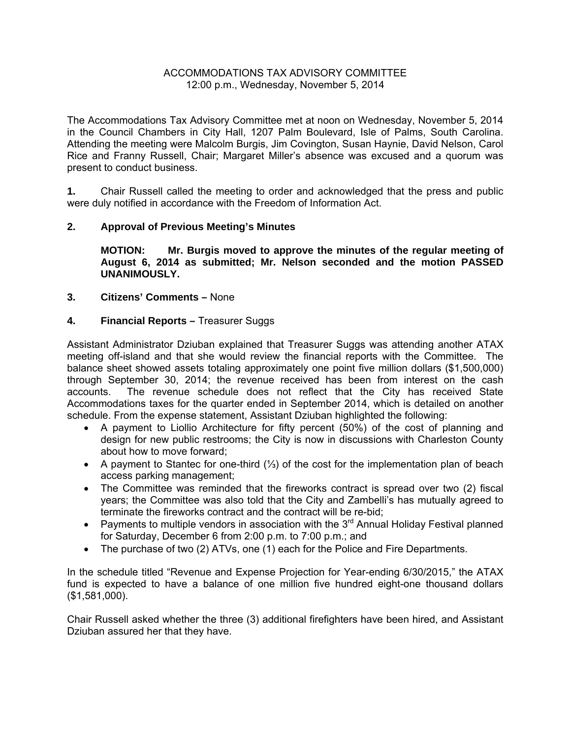## ACCOMMODATIONS TAX ADVISORY COMMITTEE 12:00 p.m., Wednesday, November 5, 2014

The Accommodations Tax Advisory Committee met at noon on Wednesday, November 5, 2014 in the Council Chambers in City Hall, 1207 Palm Boulevard, Isle of Palms, South Carolina. Attending the meeting were Malcolm Burgis, Jim Covington, Susan Haynie, David Nelson, Carol Rice and Franny Russell, Chair; Margaret Miller's absence was excused and a quorum was present to conduct business.

**1.** Chair Russell called the meeting to order and acknowledged that the press and public were duly notified in accordance with the Freedom of Information Act.

## **2. Approval of Previous Meeting's Minutes**

 **MOTION: Mr. Burgis moved to approve the minutes of the regular meeting of August 6, 2014 as submitted; Mr. Nelson seconded and the motion PASSED UNANIMOUSLY.** 

## **3. Citizens' Comments –** None

## **4. Financial Reports –** Treasurer Suggs

Assistant Administrator Dziuban explained that Treasurer Suggs was attending another ATAX meeting off-island and that she would review the financial reports with the Committee. The balance sheet showed assets totaling approximately one point five million dollars (\$1,500,000) through September 30, 2014; the revenue received has been from interest on the cash accounts. The revenue schedule does not reflect that the City has received State Accommodations taxes for the quarter ended in September 2014, which is detailed on another schedule. From the expense statement, Assistant Dziuban highlighted the following:

- A payment to Liollio Architecture for fifty percent (50%) of the cost of planning and design for new public restrooms; the City is now in discussions with Charleston County about how to move forward;
- A payment to Stantec for one-third (⅓) of the cost for the implementation plan of beach access parking management;
- The Committee was reminded that the fireworks contract is spread over two (2) fiscal years; the Committee was also told that the City and Zambelli's has mutually agreed to terminate the fireworks contract and the contract will be re-bid;
- Payments to multiple vendors in association with the  $3<sup>rd</sup>$  Annual Holiday Festival planned for Saturday, December 6 from 2:00 p.m. to 7:00 p.m.; and
- The purchase of two (2) ATVs, one (1) each for the Police and Fire Departments.

In the schedule titled "Revenue and Expense Projection for Year-ending 6/30/2015," the ATAX fund is expected to have a balance of one million five hundred eight-one thousand dollars (\$1,581,000).

Chair Russell asked whether the three (3) additional firefighters have been hired, and Assistant Dziuban assured her that they have.